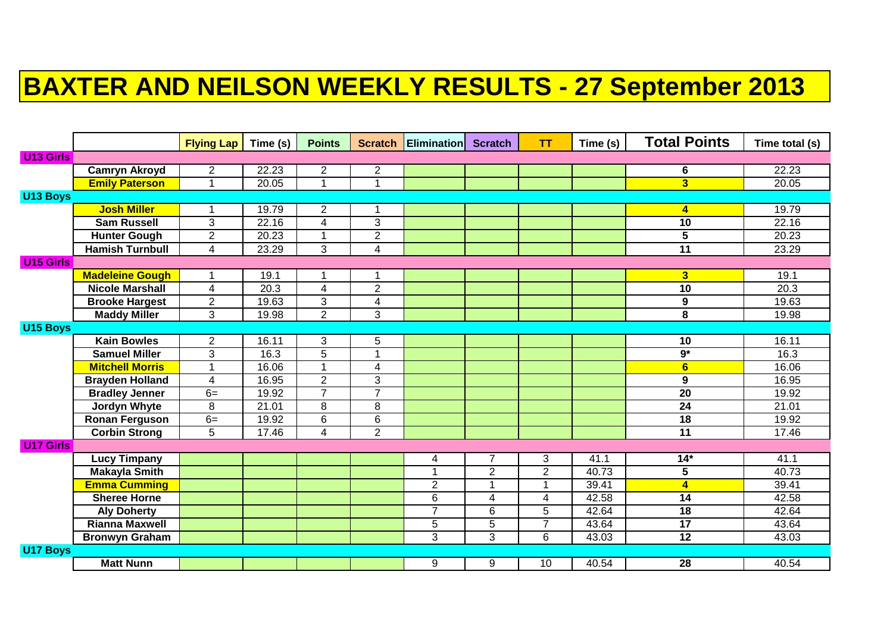## **BAXTER AND NEILSON WEEKLY RESULTS - 27 September 2013**

|                  |                        | <b>Flying Lap</b> | Time (s)          | <b>Points</b>  |                         | <b>Scratch Elimination Scratch</b> |                | <b>TT</b>      | Time (s) | <b>Total Points</b>     | Time total (s) |
|------------------|------------------------|-------------------|-------------------|----------------|-------------------------|------------------------------------|----------------|----------------|----------|-------------------------|----------------|
| <b>U13 Girls</b> |                        |                   |                   |                |                         |                                    |                |                |          |                         |                |
|                  | <b>Camryn Akroyd</b>   | $\mathbf{2}$      | 22.23             | $\overline{2}$ | $\overline{c}$          |                                    |                |                |          | 6                       | 22.23          |
|                  | <b>Emily Paterson</b>  | 1                 | 20.05             |                | 1                       |                                    |                |                |          | $\overline{\mathbf{3}}$ | 20.05          |
| <b>U13 Boys</b>  |                        |                   |                   |                |                         |                                    |                |                |          |                         |                |
|                  | <b>Josh Miller</b>     | 1                 | 19.79             | $\overline{2}$ | 1                       |                                    |                |                |          | $\overline{\mathbf{4}}$ | 19.79          |
|                  | <b>Sam Russell</b>     | 3                 | 22.16             | $\overline{4}$ | $\overline{3}$          |                                    |                |                |          | 10                      | 22.16          |
|                  | <b>Hunter Gough</b>    | $\overline{2}$    | 20.23             | 1              | $\overline{c}$          |                                    |                |                |          | $\overline{5}$          | 20.23          |
|                  | <b>Hamish Turnbull</b> | 4                 | 23.29             | 3              | $\overline{\mathbf{4}}$ |                                    |                |                |          | 11                      | 23.29          |
| <b>U15 Girls</b> |                        |                   |                   |                |                         |                                    |                |                |          |                         |                |
|                  | <b>Madeleine Gough</b> | 1                 | 19.1              |                | 1                       |                                    |                |                |          | 3 <sup>1</sup>          | 19.1           |
|                  | <b>Nicole Marshall</b> | 4                 | $\overline{20.3}$ | $\overline{4}$ | $\overline{2}$          |                                    |                |                |          | 10                      | 20.3           |
|                  | <b>Brooke Hargest</b>  | $\overline{c}$    | 19.63             | 3              | 4                       |                                    |                |                |          | $\boldsymbol{9}$        | 19.63          |
|                  | <b>Maddy Miller</b>    | 3                 | 19.98             | $\overline{2}$ | 3                       |                                    |                |                |          | $\overline{\mathbf{8}}$ | 19.98          |
| <b>U15 Boys</b>  |                        |                   |                   |                |                         |                                    |                |                |          |                         |                |
|                  | <b>Kain Bowles</b>     | $\overline{c}$    | 16.11             | 3              | 5                       |                                    |                |                |          | 10                      | 16.11          |
|                  | <b>Samuel Miller</b>   | 3                 | 16.3              | $\overline{5}$ | $\mathbf 1$             |                                    |                |                |          | $9*$                    | 16.3           |
|                  | <b>Mitchell Morris</b> | $\mathbf 1$       | 16.06             | $\overline{ }$ | 4                       |                                    |                |                |          | $6\phantom{1}$          | 16.06          |
|                  | <b>Brayden Holland</b> | $\overline{4}$    | 16.95             | $\overline{2}$ | 3                       |                                    |                |                |          | $\boldsymbol{9}$        | 16.95          |
|                  | <b>Bradley Jenner</b>  | $6=$              | 19.92             | $\overline{7}$ | $\overline{7}$          |                                    |                |                |          | $\overline{20}$         | 19.92          |
|                  | Jordyn Whyte           | 8                 | 21.01             | 8              | 8                       |                                    |                |                |          | $\overline{24}$         | 21.01          |
|                  | <b>Ronan Ferguson</b>  | $6=$              | 19.92             | 6              | 6                       |                                    |                |                |          | $\overline{18}$         | 19.92          |
|                  | <b>Corbin Strong</b>   | 5                 | 17.46             | $\overline{4}$ | $\overline{2}$          |                                    |                |                |          | $\overline{11}$         | 17.46          |
| <b>U17 Girls</b> |                        |                   |                   |                |                         |                                    |                |                |          |                         |                |
|                  | <b>Lucy Timpany</b>    |                   |                   |                |                         | 4                                  | 7              | 3              | 41.1     | $14*$                   | 41.1           |
|                  | <b>Makayla Smith</b>   |                   |                   |                |                         | 1                                  | $\overline{2}$ | $\overline{2}$ | 40.73    | 5                       | 40.73          |
|                  | <b>Emma Cumming</b>    |                   |                   |                |                         | $\overline{2}$                     | 1              | $\mathbf{1}$   | 39.41    | $\overline{\mathbf{4}}$ | 39.41          |
|                  | <b>Sheree Horne</b>    |                   |                   |                |                         | 6                                  | 4              | 4              | 42.58    | 14                      | 42.58          |
|                  | <b>Aly Doherty</b>     |                   |                   |                |                         | $\overline{7}$                     | 6              | 5              | 42.64    | $\overline{18}$         | 42.64          |
|                  | <b>Rianna Maxwell</b>  |                   |                   |                |                         | 5                                  | 5              | $\overline{7}$ | 43.64    | $\overline{17}$         | 43.64          |
|                  | <b>Bronwyn Graham</b>  |                   |                   |                |                         | 3                                  | 3              | 6              | 43.03    | $\overline{12}$         | 43.03          |
| <b>U17 Boys</b>  |                        |                   |                   |                |                         |                                    |                |                |          |                         |                |
|                  | <b>Matt Nunn</b>       |                   |                   |                |                         | 9                                  | 9              | 10             | 40.54    | 28                      | 40.54          |